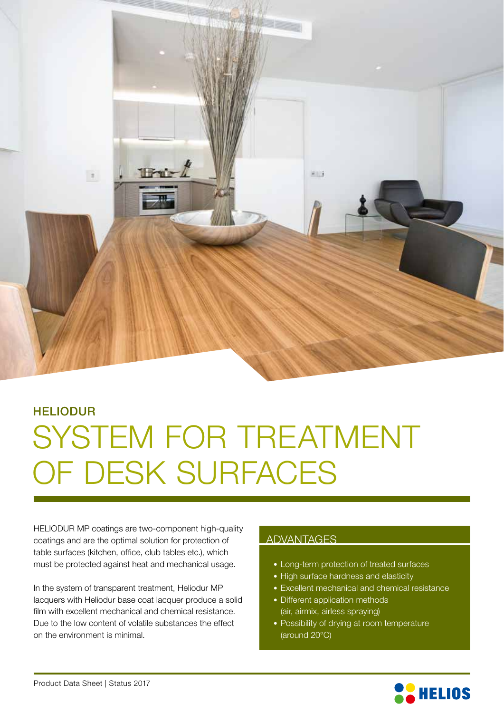

## SYSTEM FOR TREATMENT OF DESK SURFACES HELIODUR

HELIODUR MP coatings are two-component high-quality coatings and are the optimal solution for protection of table surfaces (kitchen, office, club tables etc.), which must be protected against heat and mechanical usage.

In the system of transparent treatment, Heliodur MP lacquers with Heliodur base coat lacquer produce a solid film with excellent mechanical and chemical resistance. Due to the low content of volatile substances the effect on the environment is minimal.

### ADVANTAGES

- Long-term protection of treated surfaces
- High surface hardness and elasticity
- Excellent mechanical and chemical resistance
- Different application methods (air, airmix, airless spraying)
- Possibility of drying at room temperature (around 20°C)